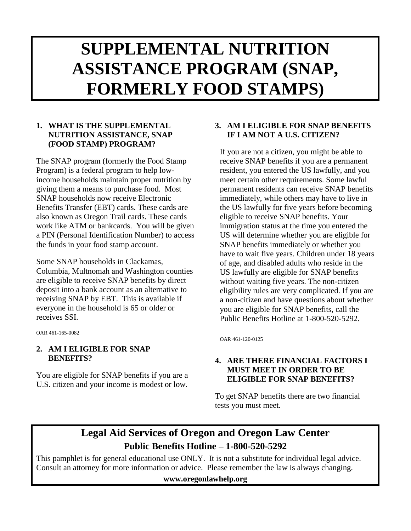# **SUPPLEMENTAL NUTRITION ASSISTANCE PROGRAM (SNAP, FORMERLY FOOD STAMPS)**

## **1. WHAT IS THE SUPPLEMENTAL NUTRITION ASSISTANCE, SNAP (FOOD STAMP) PROGRAM?**

The SNAP program (formerly the Food Stamp Program) is a federal program to help lowincome households maintain proper nutrition by giving them a means to purchase food. Most SNAP households now receive Electronic Benefits Transfer (EBT) cards. These cards are also known as Oregon Trail cards. These cards work like ATM or bankcards. You will be given a PIN (Personal Identification Number) to access the funds in your food stamp account.

Some SNAP households in Clackamas, Columbia, Multnomah and Washington counties are eligible to receive SNAP benefits by direct deposit into a bank account as an alternative to receiving SNAP by EBT. This is available if everyone in the household is 65 or older or receives SSI.

OAR 461-165-0082

## **2. AM I ELIGIBLE FOR SNAP BENEFITS?**

You are eligible for SNAP benefits if you are a U.S. citizen and your income is modest or low.

## **3. AM I ELIGIBLE FOR SNAP BENEFITS IF I AM NOT A U.S. CITIZEN?**

If you are not a citizen, you might be able to receive SNAP benefits if you are a permanent resident, you entered the US lawfully, and you meet certain other requirements. Some lawful permanent residents can receive SNAP benefits immediately, while others may have to live in the US lawfully for five years before becoming eligible to receive SNAP benefits. Your immigration status at the time you entered the US will determine whether you are eligible for SNAP benefits immediately or whether you have to wait five years. Children under 18 years of age, and disabled adults who reside in the US lawfully are eligible for SNAP benefits without waiting five years. The non-citizen eligibility rules are very complicated. If you are a non-citizen and have questions about whether you are eligible for SNAP benefits, call the Public Benefits Hotline at 1-800-520-5292.

OAR 461-120-0125

## **4. ARE THERE FINANCIAL FACTORS I MUST MEET IN ORDER TO BE ELIGIBLE FOR SNAP BENEFITS?**

To get SNAP benefits there are two financial tests you must meet.

## **Legal Aid Services of Oregon and Oregon Law Center Public Benefits Hotline – 1-800-520-5292**

This pamphlet is for general educational use ONLY. It is not a substitute for individual legal advice. Consult an attorney for more information or advice. Please remember the law is always changing.

**www.oregonlawhelp.org**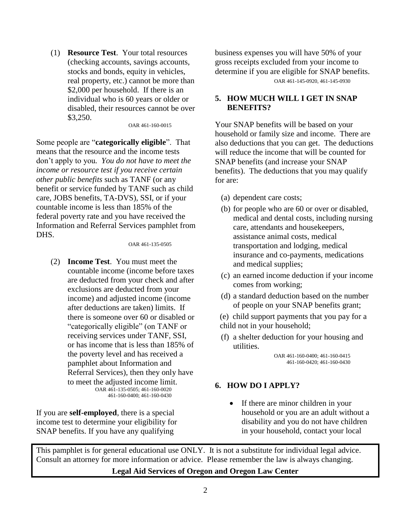(1) **Resource Test**. Your total resources (checking accounts, savings accounts, stocks and bonds, equity in vehicles, real property, etc.) cannot be more than \$2,000 per household. If there is an individual who is 60 years or older or disabled, their resources cannot be over \$3,250.

OAR 461-160-0015

Some people are "**categorically eligible**". That means that the resource and the income tests don't apply to you*. You do not have to meet the income or resource test if you receive certain other public benefits* such as TANF (or any benefit or service funded by TANF such as child care, JOBS benefits, TA-DVS), SSI, or if your countable income is less than 185% of the federal poverty rate and you have received the Information and Referral Services pamphlet from DHS.

OAR 461-135-0505

(2) **Income Test**. You must meet the countable income (income before taxes are deducted from your check and after exclusions are deducted from your income) and adjusted income (income after deductions are taken) limits. If there is someone over 60 or disabled or "categorically eligible" (on TANF or receiving services under TANF, SSI, or has income that is less than 185% of the poverty level and has received a pamphlet about Information and Referral Services), then they only have to meet the adjusted income limit. OAR 461-135-0505; 461-160-0020 461-160-0400; 461-160-0430

If you are **self-employed**, there is a special income test to determine your eligibility for SNAP benefits. If you have any qualifying

business expenses you will have 50% of your gross receipts excluded from your income to determine if you are eligible for SNAP benefits. OAR 461-145-0920, 461-145-0930

## **5. HOW MUCH WILL I GET IN SNAP BENEFITS?**

Your SNAP benefits will be based on your household or family size and income. There are also deductions that you can get. The deductions will reduce the income that will be counted for SNAP benefits (and increase your SNAP benefits). The deductions that you may qualify for are:

- (a) dependent care costs;
- (b) for people who are 60 or over or disabled, medical and dental costs, including nursing care, attendants and housekeepers, assistance animal costs, medical transportation and lodging, medical insurance and co-payments, medications and medical supplies;
- (c) an earned income deduction if your income comes from working;
- (d) a standard deduction based on the number of people on your SNAP benefits grant;
- (e) child support payments that you pay for a child not in your household;
- (f) a shelter deduction for your housing and utilities.

OAR 461-160-0400; 461-160-0415 461-160-0420; 461-160-0430

## **6. HOW DO I APPLY?**

• If there are minor children in your household or you are an adult without a disability and you do not have children in your household, contact your local

This pamphlet is for general educational use ONLY. It is not a substitute for individual legal advice. Consult an attorney for more information or advice. Please remember the law is always changing.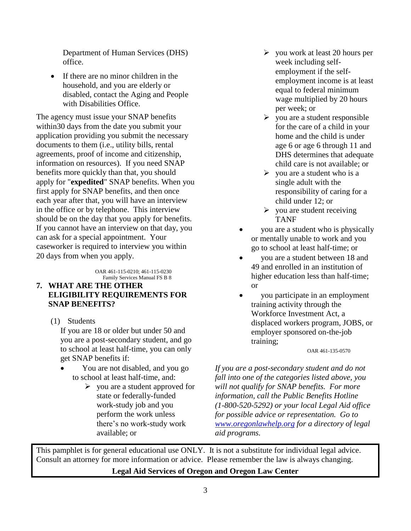Department of Human Services (DHS) office.

• If there are no minor children in the household, and you are elderly or disabled, contact the Aging and People with Disabilities Office.

The agency must issue your SNAP benefits within30 days from the date you submit your application providing you submit the necessary documents to them (i.e., utility bills, rental agreements, proof of income and citizenship, information on resources). If you need SNAP benefits more quickly than that, you should apply for "**expedited**" SNAP benefits. When you first apply for SNAP benefits, and then once each year after that, you will have an interview in the office or by telephone. This interview should be on the day that you apply for benefits. If you cannot have an interview on that day, you can ask for a special appointment. Your caseworker is required to interview you within 20 days from when you apply.

> OAR 461-115-0210; 461-115-0230 Family Services Manual FS B 8

## **7. WHAT ARE THE OTHER ELIGIBILITY REQUIREMENTS FOR SNAP BENEFITS?**

(1) Students If you are 18 or older but under 50 and you are a post-secondary student, and go to school at least half-time, you can only

get SNAP benefits if:

- You are not disabled, and you go to school at least half-time, and:
	- $\triangleright$  you are a student approved for state or federally-funded work-study job and you perform the work unless there's no work-study work available; or
- $\triangleright$  you work at least 20 hours per week including selfemployment if the selfemployment income is at least equal to federal minimum wage multiplied by 20 hours per week; or
- $\triangleright$  you are a student responsible for the care of a child in your home and the child is under age 6 or age 6 through 11 and DHS determines that adequate child care is not available; or
- $\triangleright$  you are a student who is a single adult with the responsibility of caring for a child under 12; or
- $\triangleright$  you are student receiving TANF
- you are a student who is physically or mentally unable to work and you go to school at least half-time; or
- you are a student between 18 and 49 and enrolled in an institution of higher education less than half-time; or
- you participate in an employment training activity through the Workforce Investment Act, a displaced workers program, JOBS, or employer sponsored on-the-job training;

#### OAR 461-135-0570

*If you are a post-secondary student and do not fall into one of the categories listed above, you will not qualify for SNAP benefits. For more information, call the Public Benefits Hotline (1-800-520-5292) or your local Legal Aid office for possible advice or representation. Go to [www.oregonlawhelp.org](http://www.oregonlawhelp.org/) for a directory of legal aid programs.*

This pamphlet is for general educational use ONLY. It is not a substitute for individual legal advice. Consult an attorney for more information or advice. Please remember the law is always changing.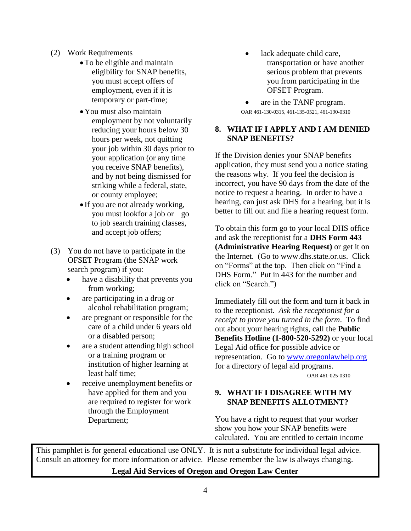- (2) Work Requirements
	- To be eligible and maintain eligibility for SNAP benefits, you must accept offers of employment, even if it is temporary or part-time;
	- You must also maintain employment by not voluntarily reducing your hours below 30 hours per week, not quitting your job within 30 days prior to your application (or any time you receive SNAP benefits), and by not being dismissed for striking while a federal, state, or county employee;
	- If you are not already working, you must lookfor a job or go to job search training classes, and accept job offers;
- (3) You do not have to participate in the OFSET Program (the SNAP work search program) if you:
	- have a disability that prevents you from working;
	- are participating in a drug or alcohol rehabilitation program;
	- are pregnant or responsible for the care of a child under 6 years old or a disabled person;
	- are a student attending high school or a training program or institution of higher learning at least half time;
	- receive unemployment benefits or have applied for them and you are required to register for work through the Employment Department;
- lack adequate child care, transportation or have another serious problem that prevents you from participating in the OFSET Program.
- are in the TANF program. OAR 461-130-0315, 461-135-0521, 461-190-0310

## **8. WHAT IF I APPLY AND I AM DENIED SNAP BENEFITS?**

If the Division denies your SNAP benefits application, they must send you a notice stating the reasons why. If you feel the decision is incorrect, you have 90 days from the date of the notice to request a hearing. In order to have a hearing, can just ask DHS for a hearing, but it is better to fill out and file a hearing request form.

To obtain this form go to your local DHS office and ask the receptionist for a **DHS Form 443 (Administrative Hearing Request)** or get it on the Internet. (Go to [www.dhs.state.or.us.](http://www.dhs.state.or.us/) Click on "Forms" at the top. Then click on "Find a DHS Form." Put in 443 for the number and click on "Search.")

Immediately fill out the form and turn it back in to the receptionist. *Ask the receptionist for a receipt to prove you turned in the form*. To find out about your hearing rights, call the **Public Benefits Hotline (1-800-520-5292)** or your local Legal Aid office for possible advice or representation. Go to [www.oregonlawhelp.org](http://www.oregonlawhelp.org/) for a directory of legal aid programs.

OAR 461-025-0310

## **9. WHAT IF I DISAGREE WITH MY SNAP BENEFITS ALLOTMENT?**

You have a right to request that your worker show you how your SNAP benefits were calculated. You are entitled to certain income

This pamphlet is for general educational use ONLY. It is not a substitute for individual legal advice. Consult an attorney for more information or advice. Please remember the law is always changing.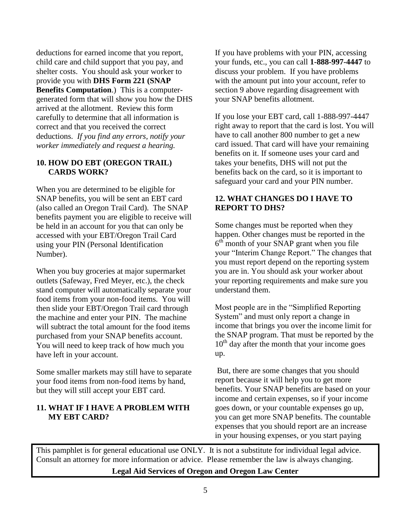deductions for earned income that you report, child care and child support that you pay, and shelter costs. You should ask your worker to provide you with **DHS Form 221 (SNAP Benefits Computation**.) This is a computergenerated form that will show you how the DHS arrived at the allotment. Review this form carefully to determine that all information is correct and that you received the correct deductions. *If you find any errors, notify your worker immediately and request a hearing.*

### **10. HOW DO EBT (OREGON TRAIL) CARDS WORK?**

When you are determined to be eligible for SNAP benefits, you will be sent an EBT card (also called an Oregon Trail Card). The SNAP benefits payment you are eligible to receive will be held in an account for you that can only be accessed with your EBT/Oregon Trail Card using your PIN (Personal Identification Number).

When you buy groceries at major supermarket outlets (Safeway, Fred Meyer, etc.), the check stand computer will automatically separate your food items from your non-food items. You will then slide your EBT/Oregon Trail card through the machine and enter your PIN. The machine will subtract the total amount for the food items purchased from your SNAP benefits account. You will need to keep track of how much you have left in your account.

Some smaller markets may still have to separate your food items from non-food items by hand, but they will still accept your EBT card.

## **11. WHAT IF I HAVE A PROBLEM WITH MY EBT CARD?**

If you have problems with your PIN, accessing your funds, etc., you can call **1-888-997-4447** to discuss your problem. If you have problems with the amount put into your account, refer to section 9 above regarding disagreement with your SNAP benefits allotment.

If you lose your EBT card, call 1-888-997-4447 right away to report that the card is lost. You will have to call another 800 number to get a new card issued. That card will have your remaining benefits on it. If someone uses your card and takes your benefits, DHS will not put the benefits back on the card, so it is important to safeguard your card and your PIN number.

## **12. WHAT CHANGES DO I HAVE TO REPORT TO DHS?**

Some changes must be reported when they happen. Other changes must be reported in the  $6<sup>th</sup>$  month of your SNAP grant when you file your "Interim Change Report." The changes that you must report depend on the reporting system you are in. You should ask your worker about your reporting requirements and make sure you understand them.

Most people are in the "Simplified Reporting System" and must only report a change in income that brings you over the income limit for the SNAP program. That must be reported by the  $10<sup>th</sup>$  day after the month that your income goes up.

But, there are some changes that you should report because it will help you to get more benefits. Your SNAP benefits are based on your income and certain expenses, so if your income goes down, or your countable expenses go up, you can get more SNAP benefits. The countable expenses that you should report are an increase in your housing expenses, or you start paying

This pamphlet is for general educational use ONLY. It is not a substitute for individual legal advice. Consult an attorney for more information or advice. Please remember the law is always changing.